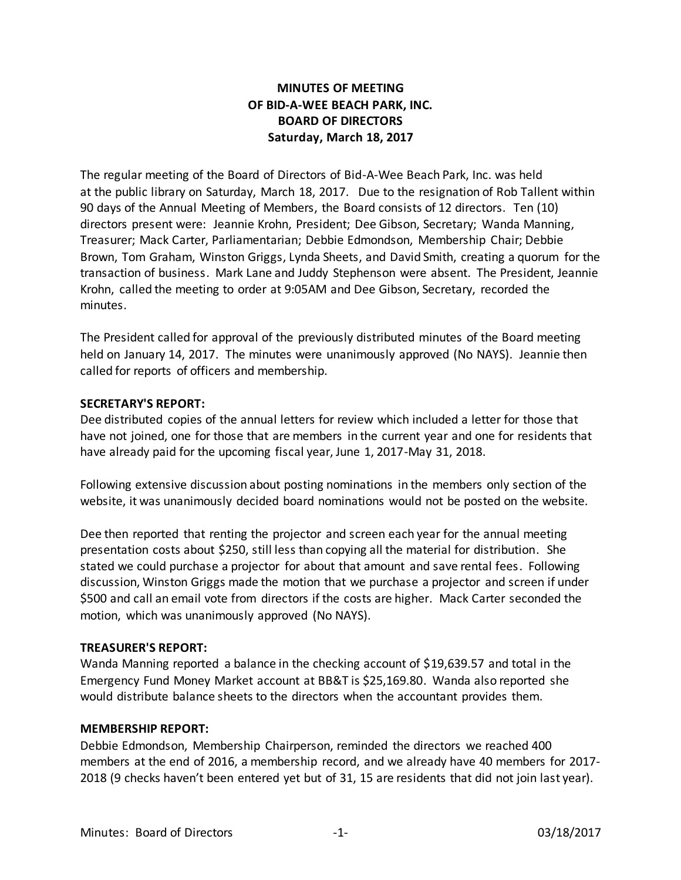# **MINUTES OF MEETING OF BID-A-WEE BEACH PARK, INC. BOARD OF DIRECTORS Saturday, March 18, 2017**

The regular meeting of the Board of Directors of Bid-A-Wee Beach Park, Inc. was held at the public library on Saturday, March 18, 2017. Due to the resignation of Rob Tallent within 90 days of the Annual Meeting of Members, the Board consists of 12 directors. Ten (10) directors present were: Jeannie Krohn, President; Dee Gibson, Secretary; Wanda Manning, Treasurer; Mack Carter, Parliamentarian; Debbie Edmondson, Membership Chair; Debbie Brown, Tom Graham, Winston Griggs, Lynda Sheets, and David Smith, creating a quorum for the transaction of business. Mark Lane and Juddy Stephenson were absent. The President, Jeannie Krohn, called the meeting to order at 9:05AM and Dee Gibson, Secretary, recorded the minutes.

The President called for approval of the previously distributed minutes of the Board meeting held on January 14, 2017. The minutes were unanimously approved (No NAYS). Jeannie then called for reports of officers and membership.

## **SECRETARY'S REPORT:**

Dee distributed copies of the annual letters for review which included a letter for those that have not joined, one for those that are members in the current year and one for residents that have already paid for the upcoming fiscal year, June 1, 2017-May 31, 2018.

Following extensive discussion about posting nominations in the members only section of the website, it was unanimously decided board nominations would not be posted on the website.

Dee then reported that renting the projector and screen each year for the annual meeting presentation costs about \$250, still less than copying all the material for distribution. She stated we could purchase a projector for about that amount and save rental fees. Following discussion, Winston Griggs made the motion that we purchase a projector and screen if under \$500 and call an email vote from directors if the costs are higher. Mack Carter seconded the motion, which was unanimously approved (No NAYS).

### **TREASURER'S REPORT:**

Wanda Manning reported a balance in the checking account of \$19,639.57 and total in the Emergency Fund Money Market account at BB&T is \$25,169.80. Wanda also reported she would distribute balance sheets to the directors when the accountant provides them.

### **MEMBERSHIP REPORT:**

Debbie Edmondson, Membership Chairperson, reminded the directors we reached 400 members at the end of 2016, a membership record, and we already have 40 members for 2017- 2018 (9 checks haven't been entered yet but of 31, 15 are residents that did not join last year).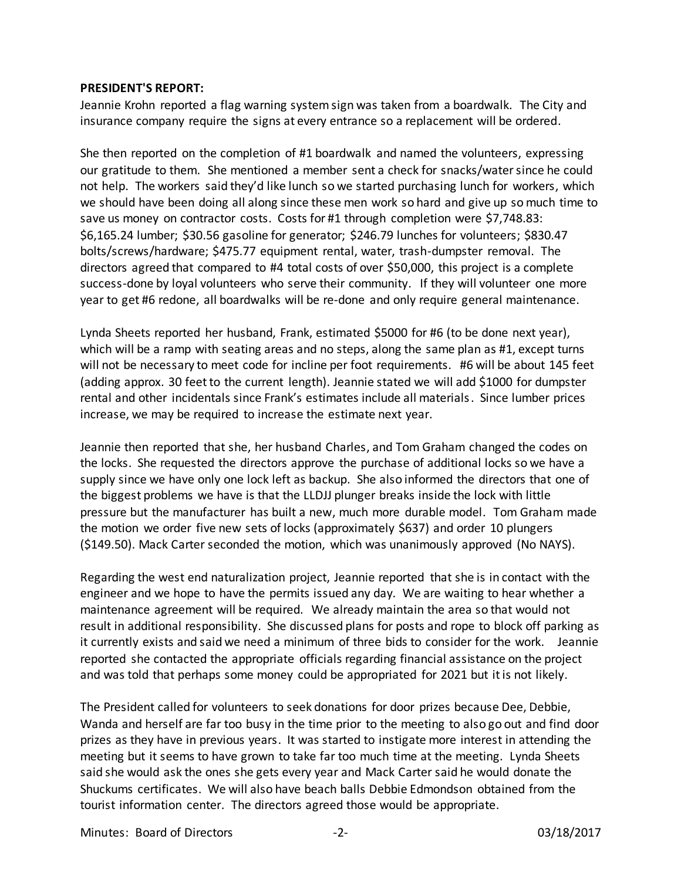#### **PRESIDENT'S REPORT:**

Jeannie Krohn reported a flag warning system sign was taken from a boardwalk. The City and insurance company require the signs at every entrance so a replacement will be ordered.

She then reported on the completion of #1 boardwalk and named the volunteers, expressing our gratitude to them. She mentioned a member sent a check for snacks/watersince he could not help. The workers said they'd like lunch so we started purchasing lunch for workers, which we should have been doing all along since these men work so hard and give up so much time to save us money on contractor costs. Costs for #1 through completion were \$7,748.83: \$6,165.24 lumber; \$30.56 gasoline for generator; \$246.79 lunches for volunteers; \$830.47 bolts/screws/hardware; \$475.77 equipment rental, water, trash-dumpster removal. The directors agreed that compared to #4 total costs of over \$50,000, this project is a complete success-done by loyal volunteers who serve their community. If they will volunteer one more year to get #6 redone, all boardwalks will be re-done and only require general maintenance.

Lynda Sheets reported her husband, Frank, estimated \$5000 for #6 (to be done next year), which will be a ramp with seating areas and no steps, along the same plan as #1, except turns will not be necessary to meet code for incline per foot requirements. #6 will be about 145 feet (adding approx. 30 feet to the current length). Jeannie stated we will add \$1000 for dumpster rental and other incidentals since Frank's estimates include all materials. Since lumber prices increase, we may be required to increase the estimate next year.

Jeannie then reported that she, her husband Charles, and Tom Graham changed the codes on the locks. She requested the directors approve the purchase of additional locks so we have a supply since we have only one lock left as backup. She also informed the directors that one of the biggest problems we have is that the LLDJJ plunger breaks inside the lock with little pressure but the manufacturer has built a new, much more durable model. Tom Graham made the motion we order five new sets of locks (approximately \$637) and order 10 plungers (\$149.50). Mack Carter seconded the motion, which was unanimously approved (No NAYS).

Regarding the west end naturalization project, Jeannie reported that she is in contact with the engineer and we hope to have the permits issued any day. We are waiting to hear whether a maintenance agreement will be required. We already maintain the area so that would not result in additional responsibility. She discussed plans for posts and rope to block off parking as it currently exists and said we need a minimum of three bids to consider for the work. Jeannie reported she contacted the appropriate officials regarding financial assistance on the project and was told that perhaps some money could be appropriated for 2021 but it is not likely.

The President called for volunteers to seek donations for door prizes because Dee, Debbie, Wanda and herself are far too busy in the time prior to the meeting to also go out and find door prizes as they have in previous years. It was started to instigate more interest in attending the meeting but it seems to have grown to take far too much time at the meeting. Lynda Sheets said she would ask the ones she gets every year and Mack Carter said he would donate the Shuckums certificates. We will also have beach balls Debbie Edmondson obtained from the tourist information center. The directors agreed those would be appropriate.

Minutes: Board of Directors -2- 2- 12- 12- 03/18/2017